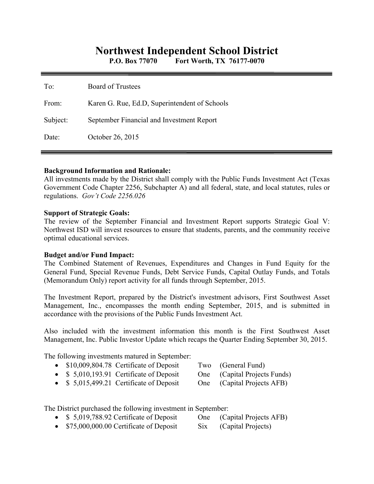# **Northwest Independent School District**

**P.O. Box 77070 Fort Worth, TX 76177-0070** 

| To:      | <b>Board of Trustees</b>                      |
|----------|-----------------------------------------------|
| From:    | Karen G. Rue, Ed.D, Superintendent of Schools |
| Subject: | September Financial and Investment Report     |
| Date:    | October 26, 2015                              |

#### **Background Information and Rationale:**

All investments made by the District shall comply with the Public Funds Investment Act (Texas Government Code Chapter 2256, Subchapter A) and all federal, state, and local statutes, rules or regulations. *Gov't Code 2256.026* 

#### **Support of Strategic Goals:**

The review of the September Financial and Investment Report supports Strategic Goal V: Northwest ISD will invest resources to ensure that students, parents, and the community receive optimal educational services.

#### **Budget and/or Fund Impact:**

The Combined Statement of Revenues, Expenditures and Changes in Fund Equity for the General Fund, Special Revenue Funds, Debt Service Funds, Capital Outlay Funds, and Totals (Memorandum Only) report activity for all funds through September, 2015.

The Investment Report, prepared by the District's investment advisors, First Southwest Asset Management, Inc., encompasses the month ending September, 2015, and is submitted in accordance with the provisions of the Public Funds Investment Act.

Also included with the investment information this month is the First Southwest Asset Management, Inc. Public Investor Update which recaps the Quarter Ending September 30, 2015.

The following investments matured in September:

|  |  | \$10,009,804.78 Certificate of Deposit |  | Two (General Fund) |  |
|--|--|----------------------------------------|--|--------------------|--|
|--|--|----------------------------------------|--|--------------------|--|

- \$ 5,010,193.91 Certificate of Deposit One (Capital Projects Funds)
- \$ 5,015,499.21 Certificate of Deposit One (Capital Projects AFB)

The District purchased the following investment in September:

- \$ 5,019,788.92 Certificate of Deposit One (Capital Projects AFB)
- \$75,000,000.00 Certificate of Deposit Six (Capital Projects)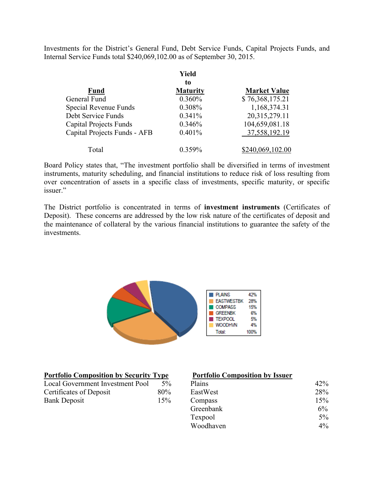Investments for the District's General Fund, Debt Service Funds, Capital Projects Funds, and Internal Service Funds total \$240,069,102.00 as of September 30, 2015.

|                               | Yield           |                     |  |  |  |
|-------------------------------|-----------------|---------------------|--|--|--|
|                               | to              |                     |  |  |  |
| <b>Fund</b>                   | <b>Maturity</b> | <b>Market Value</b> |  |  |  |
| General Fund                  | 0.360%          | \$76,368,175.21     |  |  |  |
| Special Revenue Funds         | 0.308%          | 1,168,374.31        |  |  |  |
| Debt Service Funds            | 0.341%          | 20,315,279.11       |  |  |  |
| <b>Capital Projects Funds</b> | 0.346%          | 104,659,081.18      |  |  |  |
| Capital Projects Funds - AFB  | $0.401\%$       | 37,558,192.19       |  |  |  |
| Total                         | $0.359\%$       | \$240,069,102.00    |  |  |  |

Board Policy states that, "The investment portfolio shall be diversified in terms of investment instruments, maturity scheduling, and financial institutions to reduce risk of loss resulting from over concentration of assets in a specific class of investments, specific maturity, or specific issuer."

The District portfolio is concentrated in terms of **investment instruments** (Certificates of Deposit). These concerns are addressed by the low risk nature of the certificates of deposit and the maintenance of collateral by the various financial institutions to guarantee the safety of the investments.



| <b>Portfolio Composition by Security Type</b> |       |  |  |  |
|-----------------------------------------------|-------|--|--|--|
| Local Government Investment Pool              | $5\%$ |  |  |  |
| Certificates of Deposit                       | 80%   |  |  |  |
| <b>Bank Deposit</b>                           | 15%   |  |  |  |

#### **Portfolio Composition by Issuer**

| Local Government Investment Pool | $5\%$ | Plains    | 42%   |
|----------------------------------|-------|-----------|-------|
| Certificates of Deposit          | 80%   | EastWest  | 28%   |
| Bank Deposit                     | 15%   | Compass   | 15%   |
|                                  |       | Greenbank | $6\%$ |
|                                  |       | Texpool   | $5\%$ |
|                                  |       | Woodhaven | $4\%$ |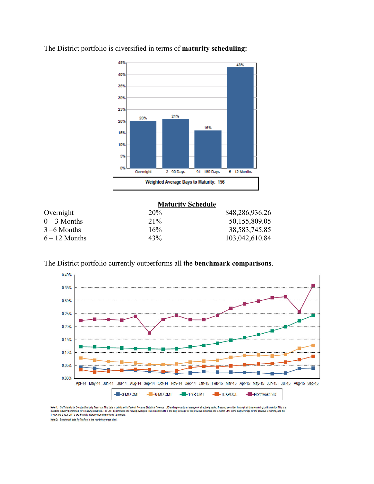

The District portfolio is diversified in terms of **maturity scheduling:** 

|                 | <b>Maturity Schedule</b> |                 |  |  |
|-----------------|--------------------------|-----------------|--|--|
| Overnight       | 20%                      | \$48,286,936.26 |  |  |
| $0 - 3$ Months  | $21\%$                   | 50,155,809.05   |  |  |
| $3 - 6$ Months  | 16%                      | 38, 583, 745.85 |  |  |
| $6 - 12$ Months | 43%                      | 103,042,610.84  |  |  |

The District portfolio currently outperforms all the **benchmark comparisons**.



Note 1: CMT stands for Constant Maturity Treasury. This data is published in Federal Resente Statistical Release H.15 and represents an average of all actively traded Treasury securities having that time remaining until ma

Note 2: Benchmark data for TexPool is the monthly average yield.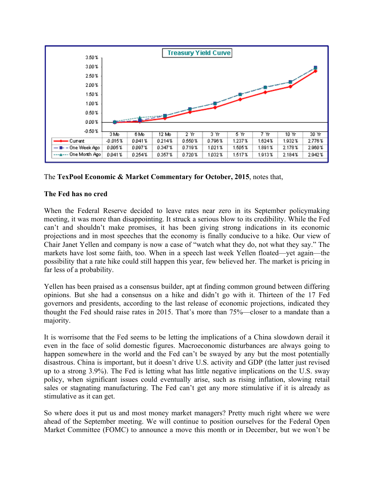

## The **TexPool Economic & Market Commentary for October, 2015**, notes that,

### **The Fed has no cred**

When the Federal Reserve decided to leave rates near zero in its September policymaking meeting, it was more than disappointing. It struck a serious blow to its credibility. While the Fed can't and shouldn't make promises, it has been giving strong indications in its economic projections and in most speeches that the economy is finally conducive to a hike. Our view of Chair Janet Yellen and company is now a case of "watch what they do, not what they say." The markets have lost some faith, too. When in a speech last week Yellen floated—yet again—the possibility that a rate hike could still happen this year, few believed her. The market is pricing in far less of a probability.

Yellen has been praised as a consensus builder, apt at finding common ground between differing opinions. But she had a consensus on a hike and didn't go with it. Thirteen of the 17 Fed governors and presidents, according to the last release of economic projections, indicated they thought the Fed should raise rates in 2015. That's more than 75%—closer to a mandate than a majority.

It is worrisome that the Fed seems to be letting the implications of a China slowdown derail it even in the face of solid domestic figures. Macroeconomic disturbances are always going to happen somewhere in the world and the Fed can't be swayed by any but the most potentially disastrous. China is important, but it doesn't drive U.S. activity and GDP (the latter just revised up to a strong 3.9%). The Fed is letting what has little negative implications on the U.S. sway policy, when significant issues could eventually arise, such as rising inflation, slowing retail sales or stagnating manufacturing. The Fed can't get any more stimulative if it is already as stimulative as it can get.

So where does it put us and most money market managers? Pretty much right where we were ahead of the September meeting. We will continue to position ourselves for the Federal Open Market Committee (FOMC) to announce a move this month or in December, but we won't be